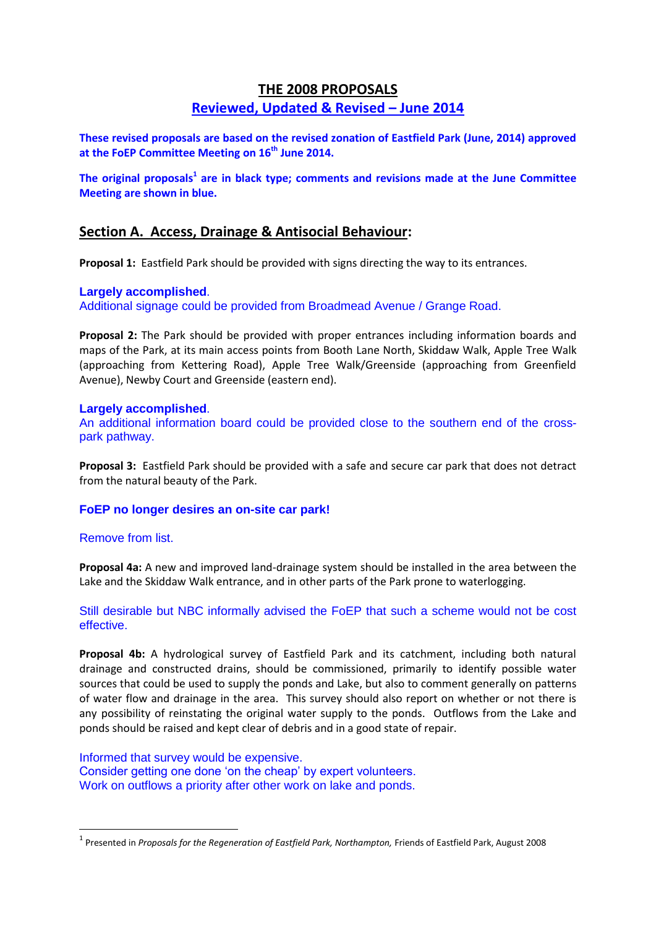# **THE 2008 PROPOSALS**

# **Reviewed, Updated & Revised – June 2014**

**These revised proposals are based on the revised zonation of Eastfield Park (June, 2014) approved at the FoEP Committee Meeting on 16th June 2014.**

**The original proposals<sup>1</sup> are in black type; comments and revisions made at the June Committee Meeting are shown in blue.**

# **Section A. Access, Drainage & Antisocial Behaviour:**

**Proposal 1:** Eastfield Park should be provided with signs directing the way to its entrances.

## **Largely accomplished**.

Additional signage could be provided from Broadmead Avenue / Grange Road.

**Proposal 2:** The Park should be provided with proper entrances including information boards and maps of the Park, at its main access points from Booth Lane North, Skiddaw Walk, Apple Tree Walk (approaching from Kettering Road), Apple Tree Walk/Greenside (approaching from Greenfield Avenue), Newby Court and Greenside (eastern end).

## **Largely accomplished**.

An additional information board could be provided close to the southern end of the crosspark pathway.

**Proposal 3:** Eastfield Park should be provided with a safe and secure car park that does not detract from the natural beauty of the Park.

## **FoEP no longer desires an on-site car park!**

## Remove from list.

**.** 

**Proposal 4a:** A new and improved land-drainage system should be installed in the area between the Lake and the Skiddaw Walk entrance, and in other parts of the Park prone to waterlogging.

## Still desirable but NBC informally advised the FoEP that such a scheme would not be cost effective.

**Proposal 4b:** A hydrological survey of Eastfield Park and its catchment, including both natural drainage and constructed drains, should be commissioned, primarily to identify possible water sources that could be used to supply the ponds and Lake, but also to comment generally on patterns of water flow and drainage in the area. This survey should also report on whether or not there is any possibility of reinstating the original water supply to the ponds. Outflows from the Lake and ponds should be raised and kept clear of debris and in a good state of repair.

Informed that survey would be expensive. Consider getting one done 'on the cheap' by expert volunteers. Work on outflows a priority after other work on lake and ponds.

<sup>&</sup>lt;sup>1</sup> Presented in *Proposals for the Regeneration of Eastfield Park, Northampton, Friends of Eastfield Park, August 2008*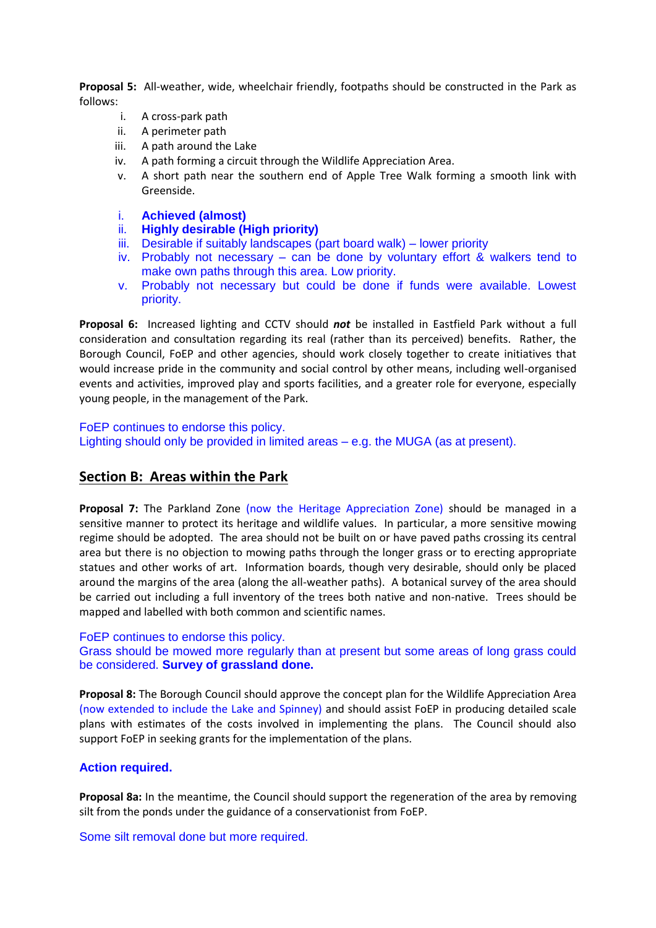**Proposal 5:** All-weather, wide, wheelchair friendly, footpaths should be constructed in the Park as follows:

- i. A cross-park path
- ii. A perimeter path
- iii. A path around the Lake
- iv. A path forming a circuit through the Wildlife Appreciation Area.
- v. A short path near the southern end of Apple Tree Walk forming a smooth link with Greenside.
- i. **Achieved (almost)**
- ii. **Highly desirable (High priority)**
- iii. Desirable if suitably landscapes (part board walk) lower priority
- iv. Probably not necessary can be done by voluntary effort & walkers tend to make own paths through this area. Low priority.
- v. Probably not necessary but could be done if funds were available. Lowest priority.

**Proposal 6:** Increased lighting and CCTV should *not* be installed in Eastfield Park without a full consideration and consultation regarding its real (rather than its perceived) benefits. Rather, the Borough Council, FoEP and other agencies, should work closely together to create initiatives that would increase pride in the community and social control by other means, including well-organised events and activities, improved play and sports facilities, and a greater role for everyone, especially young people, in the management of the Park.

FoEP continues to endorse this policy.

Lighting should only be provided in limited areas – e.g. the MUGA (as at present).

## **Section B: Areas within the Park**

**Proposal 7:** The Parkland Zone (now the Heritage Appreciation Zone) should be managed in a sensitive manner to protect its heritage and wildlife values. In particular, a more sensitive mowing regime should be adopted. The area should not be built on or have paved paths crossing its central area but there is no objection to mowing paths through the longer grass or to erecting appropriate statues and other works of art. Information boards, though very desirable, should only be placed around the margins of the area (along the all-weather paths). A botanical survey of the area should be carried out including a full inventory of the trees both native and non-native. Trees should be mapped and labelled with both common and scientific names.

#### FoEP continues to endorse this policy.

Grass should be mowed more regularly than at present but some areas of long grass could be considered. **Survey of grassland done.**

**Proposal 8:** The Borough Council should approve the concept plan for the Wildlife Appreciation Area (now extended to include the Lake and Spinney) and should assist FoEP in producing detailed scale plans with estimates of the costs involved in implementing the plans. The Council should also support FoEP in seeking grants for the implementation of the plans.

### **Action required.**

**Proposal 8a:** In the meantime, the Council should support the regeneration of the area by removing silt from the ponds under the guidance of a conservationist from FoEP.

Some silt removal done but more required.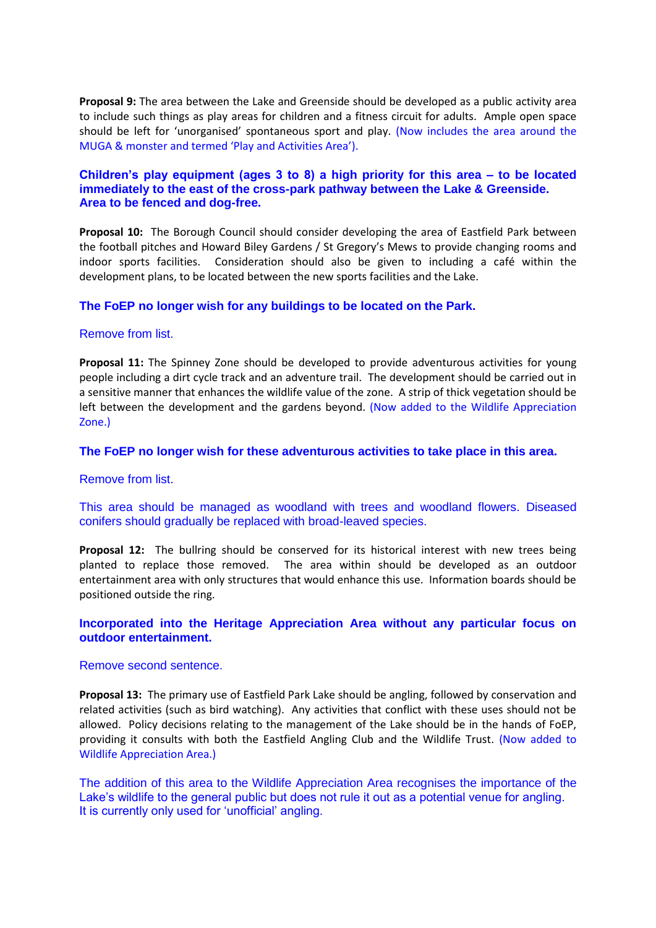**Proposal 9:** The area between the Lake and Greenside should be developed as a public activity area to include such things as play areas for children and a fitness circuit for adults. Ample open space should be left for 'unorganised' spontaneous sport and play. (Now includes the area around the MUGA & monster and termed 'Play and Activities Area').

## **Children's play equipment (ages 3 to 8) a high priority for this area – to be located immediately to the east of the cross-park pathway between the Lake & Greenside. Area to be fenced and dog-free.**

**Proposal 10:** The Borough Council should consider developing the area of Eastfield Park between the football pitches and Howard Biley Gardens / St Gregory's Mews to provide changing rooms and indoor sports facilities. Consideration should also be given to including a café within the development plans, to be located between the new sports facilities and the Lake.

## **The FoEP no longer wish for any buildings to be located on the Park.**

#### Remove from list.

**Proposal 11:** The Spinney Zone should be developed to provide adventurous activities for young people including a dirt cycle track and an adventure trail. The development should be carried out in a sensitive manner that enhances the wildlife value of the zone. A strip of thick vegetation should be left between the development and the gardens beyond. (Now added to the Wildlife Appreciation Zone.)

#### **The FoEP no longer wish for these adventurous activities to take place in this area.**

#### Remove from list.

This area should be managed as woodland with trees and woodland flowers. Diseased conifers should gradually be replaced with broad-leaved species.

**Proposal 12:** The bullring should be conserved for its historical interest with new trees being planted to replace those removed. The area within should be developed as an outdoor entertainment area with only structures that would enhance this use. Information boards should be positioned outside the ring.

## **Incorporated into the Heritage Appreciation Area without any particular focus on outdoor entertainment.**

#### Remove second sentence.

**Proposal 13:** The primary use of Eastfield Park Lake should be angling, followed by conservation and related activities (such as bird watching). Any activities that conflict with these uses should not be allowed. Policy decisions relating to the management of the Lake should be in the hands of FoEP, providing it consults with both the Eastfield Angling Club and the Wildlife Trust. (Now added to Wildlife Appreciation Area.)

The addition of this area to the Wildlife Appreciation Area recognises the importance of the Lake's wildlife to the general public but does not rule it out as a potential venue for angling. It is currently only used for 'unofficial' angling.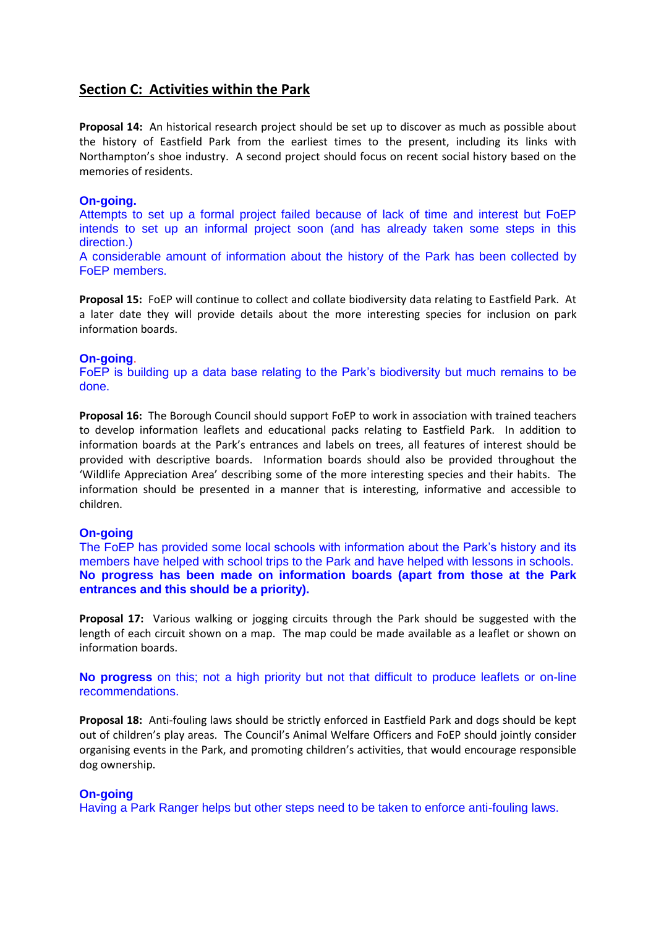# **Section C: Activities within the Park**

**Proposal 14:** An historical research project should be set up to discover as much as possible about the history of Eastfield Park from the earliest times to the present, including its links with Northampton's shoe industry. A second project should focus on recent social history based on the memories of residents.

## **On-going.**

Attempts to set up a formal project failed because of lack of time and interest but FoEP intends to set up an informal project soon (and has already taken some steps in this direction.)

A considerable amount of information about the history of the Park has been collected by FoEP members.

**Proposal 15:** FoEP will continue to collect and collate biodiversity data relating to Eastfield Park. At a later date they will provide details about the more interesting species for inclusion on park information boards.

## **On-going**.

FoEP is building up a data base relating to the Park's biodiversity but much remains to be done.

**Proposal 16:** The Borough Council should support FoEP to work in association with trained teachers to develop information leaflets and educational packs relating to Eastfield Park. In addition to information boards at the Park's entrances and labels on trees, all features of interest should be provided with descriptive boards. Information boards should also be provided throughout the 'Wildlife Appreciation Area' describing some of the more interesting species and their habits. The information should be presented in a manner that is interesting, informative and accessible to children.

## **On-going**

The FoEP has provided some local schools with information about the Park's history and its members have helped with school trips to the Park and have helped with lessons in schools. **No progress has been made on information boards (apart from those at the Park entrances and this should be a priority).**

**Proposal 17:** Various walking or jogging circuits through the Park should be suggested with the length of each circuit shown on a map. The map could be made available as a leaflet or shown on information boards.

**No progress** on this; not a high priority but not that difficult to produce leaflets or on-line recommendations.

**Proposal 18:** Anti-fouling laws should be strictly enforced in Eastfield Park and dogs should be kept out of children's play areas. The Council's Animal Welfare Officers and FoEP should jointly consider organising events in the Park, and promoting children's activities, that would encourage responsible dog ownership.

## **On-going**

Having a Park Ranger helps but other steps need to be taken to enforce anti-fouling laws.